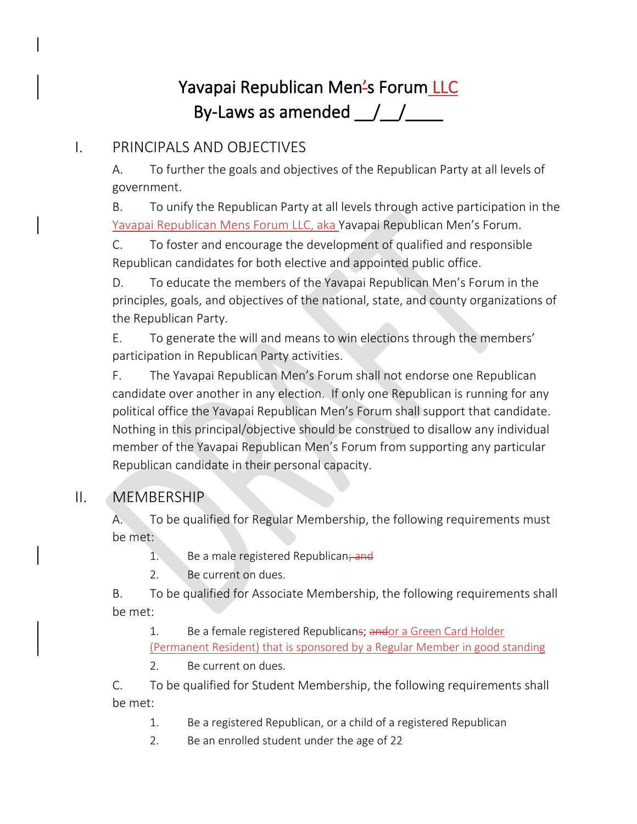# Yavapai Republican Men's Forum LLC By-Laws as amended  $\frac{1}{\sqrt{2}}$

# I. PRINCIPALS AND OBJECTIVES

A. To further the goals and objectives of the Republican Party at all levels of government.

B. To unify the Republican Party at all levels through active participation in the Yavapai Republican Mens Forum LLC, aka Yavapai Republican Men's Forum.

C. To foster and encourage the development of qualified and responsible Republican candidates for both elective and appointed public office.

D. To educate the members of the Yavapai Republican Men's Forum in the principles, goals, and objectives of the national, state, and county organizations of the Republican Party.

E. To generate the will and means to win elections through the members' participation in Republican Party activities.

F. The Yavapai Republican Men's Forum shall not endorse one Republican candidate over another in any election. If only one Republican is running for any political office the Yavapai Republican Men's Forum shall support that candidate. Nothing in this principal/objective should be construed to disallow any individual member of the Yavapai Republican Men's Forum from supporting any particular Republican candidate in their personal capacity.

# II. MEMBERSHIP

A. To be qualified for Regular Membership, the following requirements must be met:

- 1. Be a male registered Republican; and
- 2. Be current on dues.

B. To be qualified for Associate Membership, the following requirements shall be met:

1. Be a female registered Republicans; andor a Green Card Holder (Permanent Resident) that is sponsored by a Regular Member in good standing

2. Be current on dues.

C. To be qualified for Student Membership, the following requirements shall be met:

- 1. Be a registered Republican, or a child of a registered Republican
- 2. Be an enrolled student under the age of 22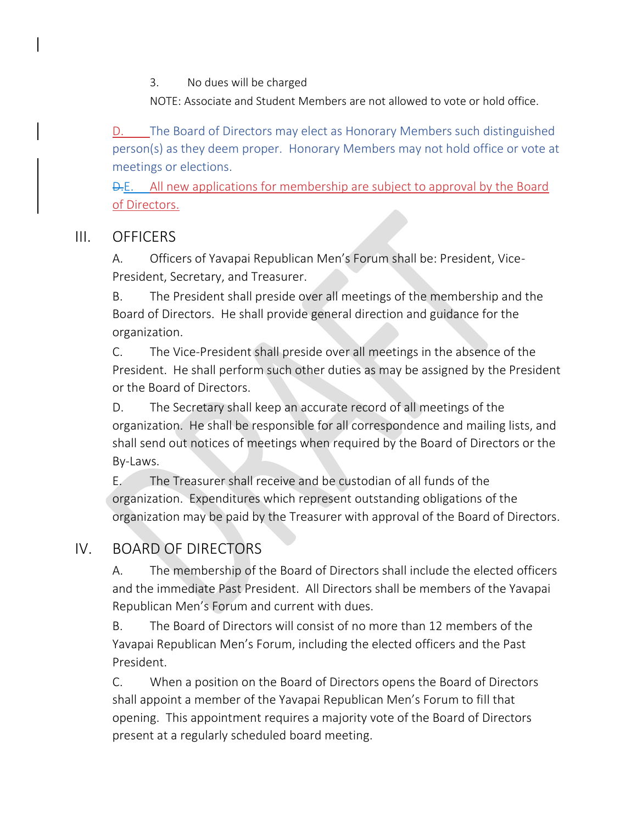3. No dues will be charged

NOTE: Associate and Student Members are not allowed to vote or hold office.

D. The Board of Directors may elect as Honorary Members such distinguished person(s) as they deem proper. Honorary Members may not hold office or vote at meetings or elections.

**D.E.** All new applications for membership are subject to approval by the Board of Directors.

#### III. OFFICERS

A. Officers of Yavapai Republican Men's Forum shall be: President, Vice-President, Secretary, and Treasurer.

B. The President shall preside over all meetings of the membership and the Board of Directors. He shall provide general direction and guidance for the organization.

C. The Vice-President shall preside over all meetings in the absence of the President. He shall perform such other duties as may be assigned by the President or the Board of Directors.

D. The Secretary shall keep an accurate record of all meetings of the organization. He shall be responsible for all correspondence and mailing lists, and shall send out notices of meetings when required by the Board of Directors or the By-Laws.

E. The Treasurer shall receive and be custodian of all funds of the organization. Expenditures which represent outstanding obligations of the organization may be paid by the Treasurer with approval of the Board of Directors.

# IV. BOARD OF DIRECTORS

A. The membership of the Board of Directors shall include the elected officers and the immediate Past President. All Directors shall be members of the Yavapai Republican Men's Forum and current with dues.

B. The Board of Directors will consist of no more than 12 members of the Yavapai Republican Men's Forum, including the elected officers and the Past President.

C. When a position on the Board of Directors opens the Board of Directors shall appoint a member of the Yavapai Republican Men's Forum to fill that opening. This appointment requires a majority vote of the Board of Directors present at a regularly scheduled board meeting.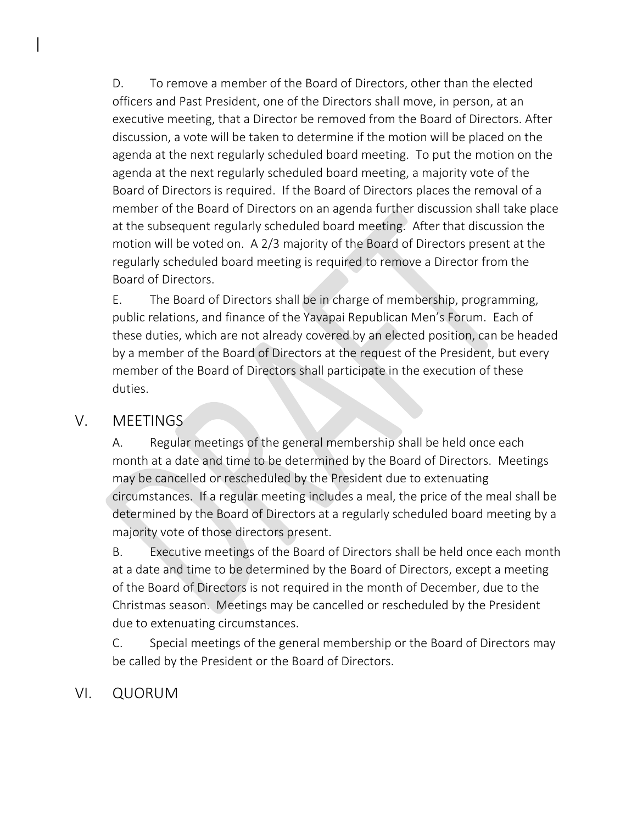D. To remove a member of the Board of Directors, other than the elected officers and Past President, one of the Directors shall move, in person, at an executive meeting, that a Director be removed from the Board of Directors. After discussion, a vote will be taken to determine if the motion will be placed on the agenda at the next regularly scheduled board meeting. To put the motion on the agenda at the next regularly scheduled board meeting, a majority vote of the Board of Directors is required. If the Board of Directors places the removal of a member of the Board of Directors on an agenda further discussion shall take place at the subsequent regularly scheduled board meeting. After that discussion the motion will be voted on. A 2/3 majority of the Board of Directors present at the regularly scheduled board meeting is required to remove a Director from the Board of Directors.

E. The Board of Directors shall be in charge of membership, programming, public relations, and finance of the Yavapai Republican Men's Forum. Each of these duties, which are not already covered by an elected position, can be headed by a member of the Board of Directors at the request of the President, but every member of the Board of Directors shall participate in the execution of these duties.

#### V. MEETINGS

A. Regular meetings of the general membership shall be held once each month at a date and time to be determined by the Board of Directors. Meetings may be cancelled or rescheduled by the President due to extenuating circumstances. If a regular meeting includes a meal, the price of the meal shall be determined by the Board of Directors at a regularly scheduled board meeting by a majority vote of those directors present.

B. Executive meetings of the Board of Directors shall be held once each month at a date and time to be determined by the Board of Directors, except a meeting of the Board of Directors is not required in the month of December, due to the Christmas season. Meetings may be cancelled or rescheduled by the President due to extenuating circumstances.

C. Special meetings of the general membership or the Board of Directors may be called by the President or the Board of Directors.

# VI. QUORUM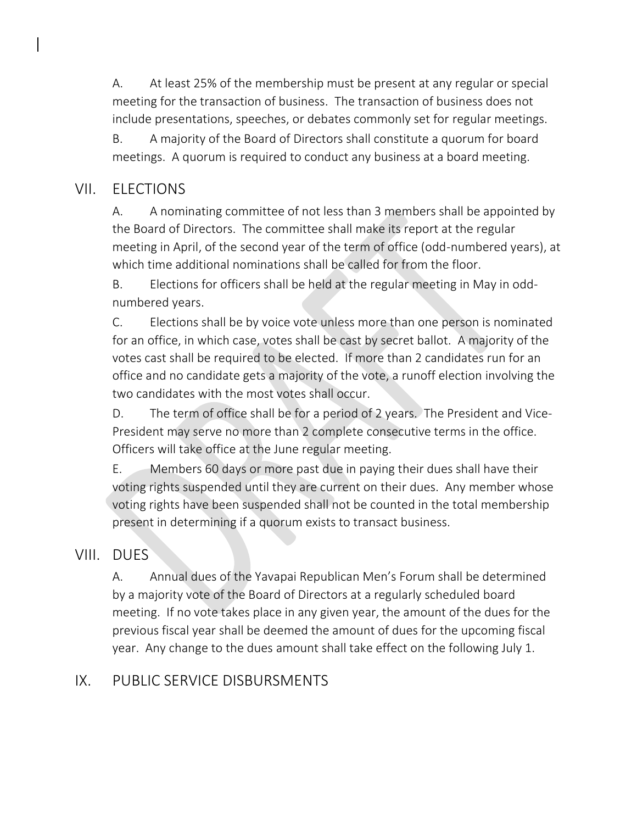A. At least 25% of the membership must be present at any regular or special meeting for the transaction of business. The transaction of business does not include presentations, speeches, or debates commonly set for regular meetings.

B. A majority of the Board of Directors shall constitute a quorum for board meetings. A quorum is required to conduct any business at a board meeting.

#### VII. ELECTIONS

A. A nominating committee of not less than 3 members shall be appointed by the Board of Directors. The committee shall make its report at the regular meeting in April, of the second year of the term of office (odd-numbered years), at which time additional nominations shall be called for from the floor.

B. Elections for officers shall be held at the regular meeting in May in oddnumbered years.

C. Elections shall be by voice vote unless more than one person is nominated for an office, in which case, votes shall be cast by secret ballot. A majority of the votes cast shall be required to be elected. If more than 2 candidates run for an office and no candidate gets a majority of the vote, a runoff election involving the two candidates with the most votes shall occur.

D. The term of office shall be for a period of 2 years. The President and Vice-President may serve no more than 2 complete consecutive terms in the office. Officers will take office at the June regular meeting.

E. Members 60 days or more past due in paying their dues shall have their voting rights suspended until they are current on their dues. Any member whose voting rights have been suspended shall not be counted in the total membership present in determining if a quorum exists to transact business.

#### VIII. DUES

A. Annual dues of the Yavapai Republican Men's Forum shall be determined by a majority vote of the Board of Directors at a regularly scheduled board meeting. If no vote takes place in any given year, the amount of the dues for the previous fiscal year shall be deemed the amount of dues for the upcoming fiscal year. Any change to the dues amount shall take effect on the following July 1.

## IX. PUBLIC SERVICE DISBURSMENTS